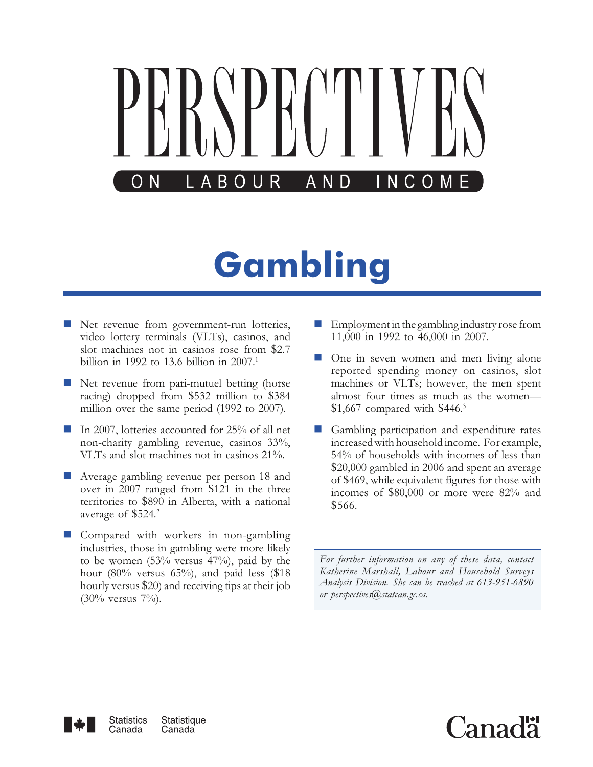

# Gambling

- **Net revenue from government-run lotteries,** video lottery terminals (VLTs), casinos, and slot machines not in casinos rose from \$2.7 billion in 1992 to 13.6 billion in  $2007$ <sup>1</sup>
- **Net revenue from pari-mutuel betting (horse** racing) dropped from \$532 million to \$384 million over the same period (1992 to 2007).
- - In 2007, lotteries accounted for 25% of all net non-charity gambling revenue, casinos 33%, VLTs and slot machines not in casinos 21%.
- **Average gambling revenue per person 18 and** over in 2007 ranged from \$121 in the three territories to \$890 in Alberta, with a national average of \$524.<sup>2</sup>
- **Compared with workers in non-gambling** industries, those in gambling were more likely to be women (53% versus 47%), paid by the hour  $(80\%$  versus  $65\%$ , and paid less  $(\$18$ hourly versus \$20) and receiving tips at their job  $(30\% \text{ versus } 7\%)$ .
- - Employment in the gambling industry rose from 11,000 in 1992 to 46,000 in 2007.
- - One in seven women and men living alone reported spending money on casinos, slot machines or VLTs; however, the men spent almost four times as much as the women— \$1,667 compared with \$446.<sup>3</sup>
- - Gambling participation and expenditure rates increased with household income. For example, 54% of households with incomes of less than \$20,000 gambled in 2006 and spent an average of \$469, while equivalent figures for those with incomes of \$80,000 or more were 82% and \$566.

For further information on any of these data, contact Katherine Marshall, Labour and Household Surveys Analysis Division. She can be reached at 613-951-6890 or perspectives@statcan.gc.ca.



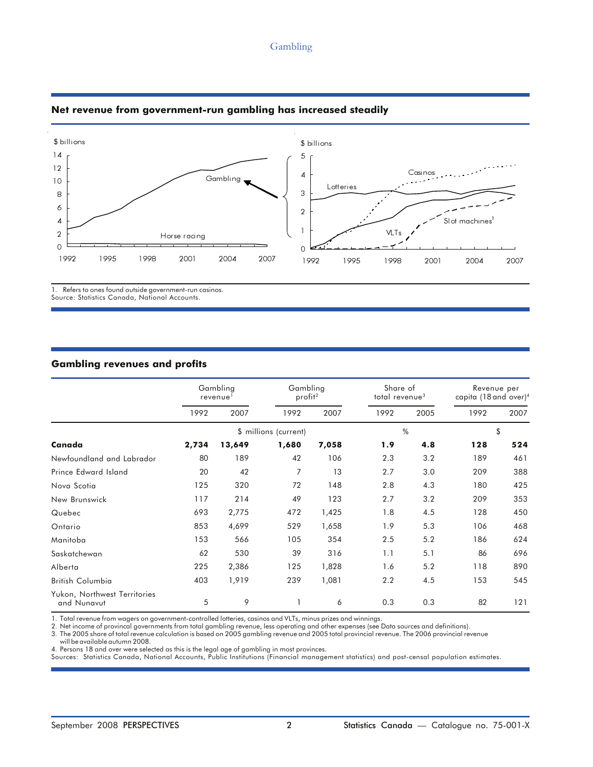#### Gambling



## Net revenue from government-run gambling has increased steadily

1. Refers to ones found outside government-run casinos. Source: Statistics Canada, National Accounts.

#### Gambling revenues and profits

|                                             | Gambling<br>revenue <sup>1</sup> |        | Gambling<br>profit <sup>2</sup> |       | Share of<br>total revenue <sup>3</sup> |      | Revenue per<br>capita (18 and over) <sup>4</sup> |      |
|---------------------------------------------|----------------------------------|--------|---------------------------------|-------|----------------------------------------|------|--------------------------------------------------|------|
|                                             | 1992                             | 2007   | 1992                            | 2007  | 1992                                   | 2005 | 1992                                             | 2007 |
|                                             |                                  |        | \$ millions (current)           |       |                                        | $\%$ |                                                  | \$   |
| Canada                                      | 2,734                            | 13,649 | 1,680                           | 7,058 | 1.9                                    | 4.8  | 128                                              | 524  |
| Newfoundland and Labrador                   | 80                               | 189    | 42                              | 106   | 2.3                                    | 3.2  | 189                                              | 461  |
| Prince Edward Island                        | 20                               | 42     | 7                               | 13    | 2.7                                    | 3.0  | 209                                              | 388  |
| Nova Scotia                                 | 125                              | 320    | 72                              | 148   | 2.8                                    | 4.3  | 180                                              | 425  |
| New Brunswick                               | 117                              | 214    | 49                              | 123   | 2.7                                    | 3.2  | 209                                              | 353  |
| Quebec                                      | 693                              | 2,775  | 472                             | 1,425 | 1.8                                    | 4.5  | 128                                              | 450  |
| Ontario                                     | 853                              | 4,699  | 529                             | 1,658 | 1.9                                    | 5.3  | 106                                              | 468  |
| Manitoba                                    | 153                              | 566    | 105                             | 354   | 2.5                                    | 5.2  | 186                                              | 624  |
| Saskatchewan                                | 62                               | 530    | 39                              | 316   | 1.1                                    | 5.1  | 86                                               | 696  |
| Alberta                                     | 225                              | 2,386  | 125                             | 1,828 | 1.6                                    | 5.2  | 118                                              | 890  |
| British Columbia                            | 403                              | 1,919  | 239                             | 1,081 | 2.2                                    | 4.5  | 153                                              | 545  |
| Yukon, Northwest Territories<br>and Nunavut | 5                                | 9      |                                 | 6     | 0.3                                    | 0.3  | 82                                               | 121  |

1. Total revenue from wagers on government-controlled lotteries, casinos and VLTs, minus prizes and winnings.

2. Net income of provincal governments from total gambling revenue, less operating and other expenses (see Data sources and definitions).

3. The 2005 share of total revenue calculation is based on 2005 gambling revenue and 2005 total provincial revenue. The 2006 provincial revenue

will be available autumn 2008.

4. Persons 18 and over were selected as this is the legal age of gambling in most provinces.

Sources: Statistics Canada, National Accounts, Public Institutions (Financial management statistics) and post-censal population estimates.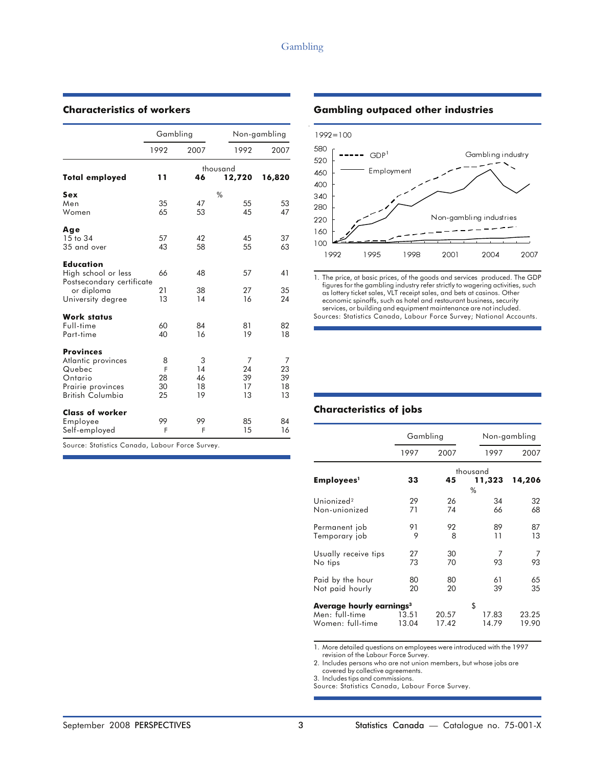|                           | Gambling |          |          | Non-gambling |  |
|---------------------------|----------|----------|----------|--------------|--|
|                           | 1992     | 2007     | 1992     | 2007         |  |
|                           |          |          | thousand |              |  |
| <b>Total employed</b>     | 11       | 46       | 12,720   | 16,820       |  |
| Sex                       |          |          | $\%$     |              |  |
| Men                       | 35       | 47       | 55       | 53           |  |
| Women                     | 65       | 53       | 45       | 47           |  |
| Age                       |          |          |          |              |  |
| 15 to 34                  | 57       | 42       | 45       | 37           |  |
| 35 and over               | 43       | 58       | 55       | 63           |  |
| <b>Education</b>          |          |          |          |              |  |
| High school or less       | 66       | 48       | 57       | 41           |  |
| Postsecondary certificate |          |          | 27       |              |  |
| or diploma                | 21<br>13 | 38<br>14 | 16       | 35<br>24     |  |
| University degree         |          |          |          |              |  |
| <b>Work status</b>        |          |          |          |              |  |
| Full-time                 | 60       | 84       | 81       | 82           |  |
| Part-time                 | 40       | 16       | 19       | 18           |  |
| <b>Provinces</b>          |          |          |          |              |  |
| Atlantic provinces        | 8        | 3        | 7        | 7            |  |
| Quebec                    | F        | 14       | 24       | 23           |  |
| Ontario                   | 28       | 46       | 39       | 39           |  |
| Prairie provinces         | 30       | 18       | 17       | 18           |  |
| British Columbia          | 25       | 19       | 13       | 13           |  |
| <b>Class of worker</b>    |          |          |          |              |  |
| Employee                  | 99       | 99       | 85       | 84           |  |
| Self-employed             | F        | F        | 15       | 16           |  |

#### Characteristics of workers **Gambling outpaced other industries**



1. The price, at basic prices, of the goods and services produced. The GDP figures for the gambling industry refer strictly to wagering activities, such as lottery ticket sales, VLT receipt sales, and bets at casinos. Other economic spinoffs, such as hotel and restaurant business, security services, or building and equipment maintenance are not included. Sources: Statistics Canada, Labour Force Survey; National Accounts.

## Characteristics of jobs

|                                                                            | Gambling       |                |                      | Non-gambling   |
|----------------------------------------------------------------------------|----------------|----------------|----------------------|----------------|
|                                                                            | 1997           | 2007           | 1997                 | 2007           |
| Employees <sup>1</sup>                                                     | 33             | 45             | thousand<br>11,323   | 14,206         |
| Unionized <sup>2</sup><br>Non-unionized                                    | 29<br>71       | 26<br>74       | $\%$<br>34<br>66     | 32<br>68       |
| Permanent job<br>Temporary job                                             | 91<br>9        | 92<br>8        | 89<br>11             | 87<br>13       |
| Usually receive tips<br>No tips                                            | 27<br>73       | 30<br>70       | 93                   | 93             |
| Paid by the hour<br>Not paid hourly                                        | 80<br>20       | 80<br>20       | 61<br>39             | 65<br>35       |
| Average hourly earnings <sup>3</sup><br>Men: full-time<br>Women: full-time | 13.51<br>13.04 | 20.57<br>17.42 | \$<br>17.83<br>14.79 | 23.25<br>19.90 |

1. More detailed questions on employees were introduced with the 1997 revision of the Labour Force Survey.

2. Includes persons who are not union members, but whose jobs are covered by collective agreements.

3. Includes tips and commissions.

Source: Statistics Canada, Labour Force Survey.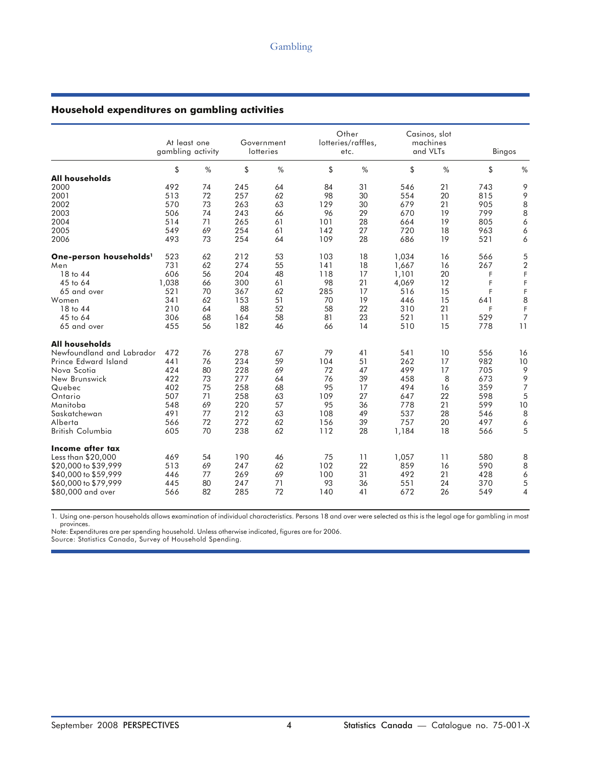#### Household expenditures on gambling activities

|                                    | At least one<br>gambling activity |    |     | Government<br>lotteries |     | Other<br>lotteries/raffles,<br>etc. |       | Casinos, slot<br>machines<br>and VLTs | Bingos |                  |
|------------------------------------|-----------------------------------|----|-----|-------------------------|-----|-------------------------------------|-------|---------------------------------------|--------|------------------|
|                                    | \$                                | %  | \$  | %                       | \$  | %                                   | \$    | %                                     | \$     | %                |
| <b>All households</b>              |                                   |    |     |                         |     |                                     |       |                                       |        |                  |
| 2000                               | 492                               | 74 | 245 | 64                      | 84  | 31                                  | 546   | 21                                    | 743    | 9                |
| 2001                               | 513                               | 72 | 257 | 62                      | 98  | 30                                  | 554   | 20                                    | 815    | 9                |
| 2002                               | 570                               | 73 | 263 | 63                      | 129 | 30                                  | 679   | 21                                    | 905    | 8                |
| 2003                               | 506                               | 74 | 243 | 66                      | 96  | 29                                  | 670   | 19                                    | 799    | $\,8\,$          |
| 2004                               | 514                               | 71 | 265 | 61                      | 101 | 28                                  | 664   | 19                                    | 805    | 6                |
| 2005                               | 549                               | 69 | 254 | 61                      | 142 | 27                                  | 720   | 18                                    | 963    | 6                |
| 2006                               | 493                               | 73 | 254 | 64                      | 109 | 28                                  | 686   | 19                                    | 521    | 6                |
| One-person households <sup>1</sup> | 523                               | 62 | 212 | 53                      | 103 | 18                                  | 1,034 | 16                                    | 566    | 5                |
| Men                                | 731                               | 62 | 274 | 55                      | 141 | 18                                  | 1,667 | 16                                    | 267    | $\boldsymbol{2}$ |
| 18 to 44                           | 606                               | 56 | 204 | 48                      | 118 | 17                                  | 1,101 | 20                                    | F      | F                |
| 45 to 64                           | 1,038                             | 66 | 300 | 61                      | 98  | 21                                  | 4,069 | 12                                    | F      | F                |
| 65 and over                        | 521                               | 70 | 367 | 62                      | 285 | 17                                  | 516   | 15                                    | F      | F                |
| Women                              | 341                               | 62 | 153 | 51                      | 70  | 19                                  | 446   | 15                                    | 641    | 8                |
| 18 to 44                           | 210                               | 64 | 88  | 52                      | 58  | 22                                  | 310   | 21                                    | F      | F                |
| 45 to 64                           | 306                               | 68 | 164 | 58                      | 81  | 23                                  | 521   | 11                                    | 529    | $\overline{7}$   |
| 65 and over                        | 455                               | 56 | 182 | 46                      | 66  | 14                                  | 510   | 15                                    | 778    | 11               |
| <b>All households</b>              |                                   |    |     |                         |     |                                     |       |                                       |        |                  |
| Newfoundland and Labrador          | 472                               | 76 | 278 | 67                      | 79  | 41                                  | 541   | 10                                    | 556    | 16               |
| Prince Edward Island               | 441                               | 76 | 234 | 59                      | 104 | 51                                  | 262   | 17                                    | 982    | 10               |
| Nova Scotia                        | 424                               | 80 | 228 | 69                      | 72  | 47                                  | 499   | 17                                    | 705    | 9                |
| New Brunswick                      | 422                               | 73 | 277 | 64                      | 76  | 39                                  | 458   | 8                                     | 673    | 9                |
| Quebec                             | 402                               | 75 | 258 | 68                      | 95  | 17                                  | 494   | 16                                    | 359    | $\overline{7}$   |
| Ontario                            | 507                               | 71 | 258 | 63                      | 109 | 27                                  | 647   | 22                                    | 598    | $\sqrt{5}$       |
| Manitoba                           | 548                               | 69 | 220 | 57                      | 95  | 36                                  | 778   | 21                                    | 599    | 10               |
| Saskatchewan                       | 491                               | 77 | 212 | 63                      | 108 | 49                                  | 537   | 28                                    | 546    | 8                |
| Alberta                            | 566                               | 72 | 272 | 62                      | 156 | 39                                  | 757   | 20                                    | 497    | 6                |
| <b>British Columbia</b>            | 605                               | 70 | 238 | 62                      | 112 | 28                                  | 1,184 | 18                                    | 566    | 5                |
| Income after tax                   |                                   |    |     |                         |     |                                     |       |                                       |        |                  |
| Less than \$20,000                 | 469                               | 54 | 190 | 46                      | 75  | 11                                  | 1,057 | 11                                    | 580    | 8                |
| \$20,000 to \$39,999               | 513                               | 69 | 247 | 62                      | 102 | 22                                  | 859   | 16                                    | 590    | 8                |
| \$40,000 to \$59,999               | 446                               | 77 | 269 | 69                      | 100 | 31                                  | 492   | 21                                    | 428    | 6                |
| \$60,000 to \$79,999               | 445                               | 80 | 247 | 71                      | 93  | 36                                  | 551   | 24                                    | 370    | $\mathfrak s$    |
| \$80,000 and over                  | 566                               | 82 | 285 | 72                      | 140 | 41                                  | 672   | 26                                    | 549    | $\overline{4}$   |

1. Using one-person households allows examination of individual characteristics. Persons 18 and over were selected as this is the legal age for gambling in most provinces.

Note: Expenditures are per spending household. Unless otherwise indicated, figures are for 2006.

Source: Statistics Canada, Survey of Household Spending.